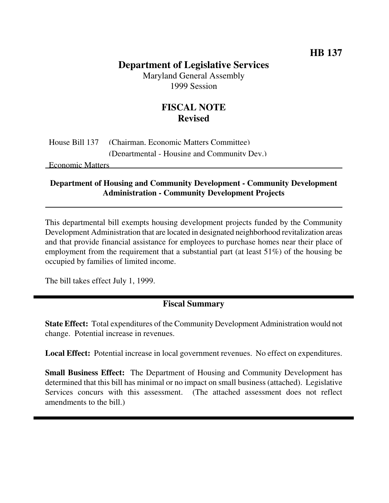# **HB 137**

# **Department of Legislative Services**

Maryland General Assembly 1999 Session

# **FISCAL NOTE Revised**

House Bill 137 (Chairman, Economic Matters Committee) (Departmental - Housing and Community Dev.)

Economic Matters

#### **Department of Housing and Community Development - Community Development Administration - Community Development Projects**

This departmental bill exempts housing development projects funded by the Community Development Administration that are located in designated neighborhood revitalization areas and that provide financial assistance for employees to purchase homes near their place of employment from the requirement that a substantial part (at least 51%) of the housing be occupied by families of limited income.

The bill takes effect July 1, 1999.

## **Fiscal Summary**

**State Effect:** Total expenditures of the Community Development Administration would not change. Potential increase in revenues.

**Local Effect:** Potential increase in local government revenues. No effect on expenditures.

**Small Business Effect:** The Department of Housing and Community Development has determined that this bill has minimal or no impact on small business (attached). Legislative Services concurs with this assessment. (The attached assessment does not reflect amendments to the bill.)